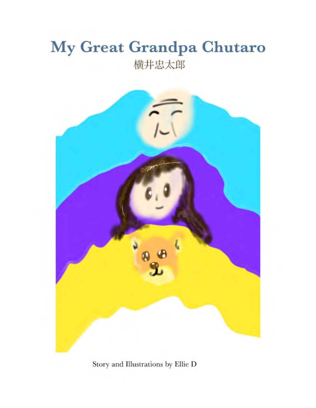## My Great Grandpa Chutaro 横井忠太郎



Story and Illustrations by Ellie D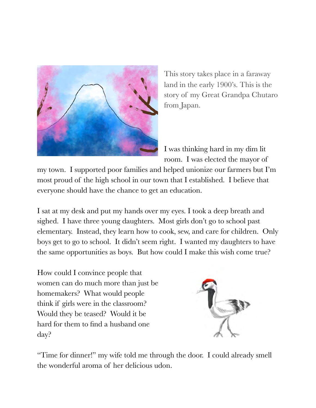

This story takes place in a faraway land in the early 1900's. This is the story of my Great Grandpa Chutaro from Japan.

I was thinking hard in my dim lit room. I was elected the mayor of

my town. I supported poor families and helped unionize our farmers but I'm most proud of the high school in our town that I established. I believe that everyone should have the chance to get an education.

I sat at my desk and put my hands over my eyes. I took a deep breath and sighed. I have three young daughters. Most girls don't go to school past elementary. Instead, they learn how to cook, sew, and care for children. Only boys get to go to school. It didn't seem right. I wanted my daughters to have the same opportunities as boys. But how could I make this wish come true?

How could I convince people that women can do much more than just be homemakers? What would people think if girls were in the classroom? Would they be teased? Would it be hard for them to find a husband one day?



"Time for dinner!" my wife told me through the door. I could already smell the wonderful aroma of her delicious udon.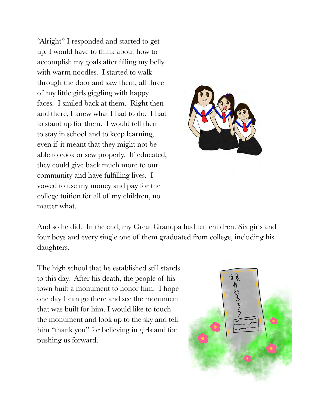"Alright" I responded and started to get up. I would have to think about how to accomplish my goals after filling my belly with warm noodles. I started to walk through the door and saw them, all three of my little girls giggling with happy faces. I smiled back at them. Right then and there, I knew what I had to do. I had to stand up for them. I would tell them to stay in school and to keep learning, even if it meant that they might not be able to cook or sew properly. If educated, they could give back much more to our community and have fulfilling lives. I vowed to use my money and pay for the college tuition for all of my children, no matter what.



And so he did. In the end, my Great Grandpa had ten children. Six girls and four boys and every single one of them graduated from college, including his daughters.

The high school that he established still stands to this day. After his death, the people of his town built a monument to honor him. I hope one day I can go there and see the monument that was built for him. I would like to touch the monument and look up to the sky and tell him "thank you" for believing in girls and for pushing us forward.